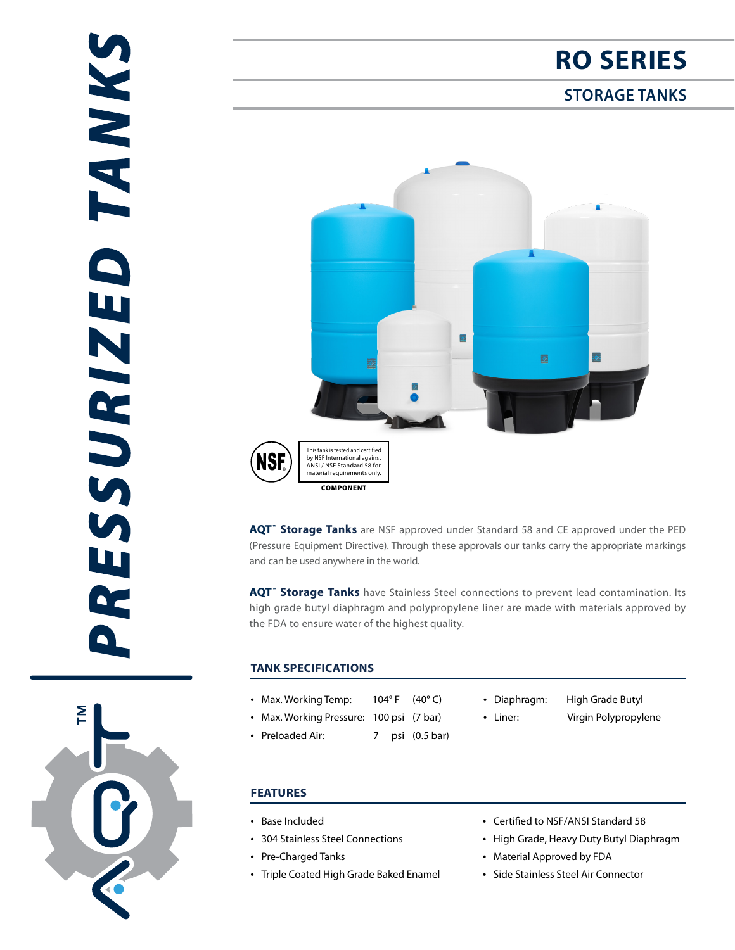$\sum_{i=1}^{n}$ 

# **RO SERIES**

## **STORAGE TANKS**



**AQT™ Storage Tanks** are NSF approved under Standard 58 and CE approved under the PED (Pressure Equipment Directive). Through these approvals our tanks carry the appropriate markings and can be used anywhere in the world.

**AQT™ Storage Tanks** have Stainless Steel connections to prevent lead contamination. Its high grade butyl diaphragm and polypropylene liner are made with materials approved by the FDA to ensure water of the highest quality.

### **TANK SPECIFICATIONS**

- Max. Working Temp: 104°F (40°C)
- Max. Working Pressure: 100 psi (7 bar)
- Preloaded Air: 7 psi (0.5 bar)
- Diaphragm: High Grade Butyl
	-
- 
- Liner: Virgin Polypropylene

- **FEATURES**
- Base Included
- 304 Stainless Steel Connections
- Pre-Charged Tanks
- Triple Coated High Grade Baked Enamel
- Certified to NSF/ANSI Standard 58
- High Grade, Heavy Duty Butyl Diaphragm
- Material Approved by FDA
- Side Stainless Steel Air Connector